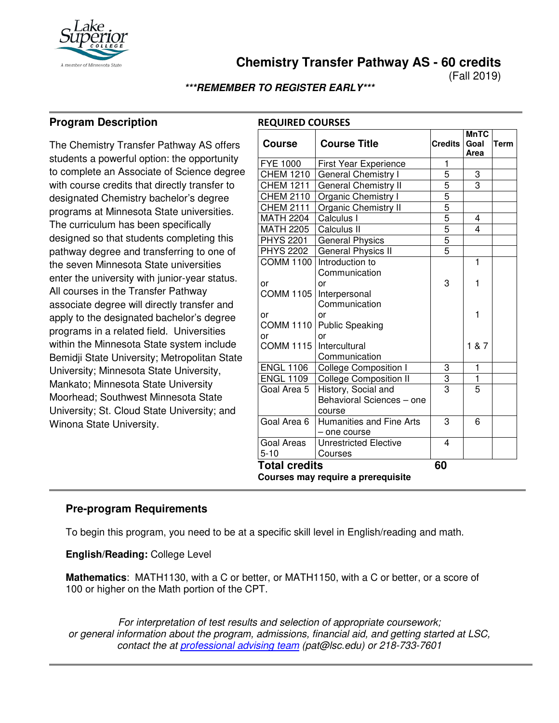

**Chemistry Transfer Pathway AS - 60 credits**

(Fall 2019)

#### **\*\*\*REMEMBER TO REGISTER EARLY\*\*\***

**REQUIRED COURSES**

# **Program Description**

The Chemistry Transfer Pathway AS offers students a powerful option: the opportunity to complete an Associate of Science degree with course credits that directly transfer to designated Chemistry bachelor's degree programs at Minnesota State universities. The curriculum has been specifically designed so that students completing this pathway degree and transferring to one of the seven Minnesota State universities enter the university with junior-year status. All courses in the Transfer Pathway associate degree will directly transfer and apply to the designated bachelor's degree programs in a related field. Universities within the Minnesota State system include Bemidji State University; Metropolitan State University; Minnesota State University, Mankato; Minnesota State University Moorhead; Southwest Minnesota State University; St. Cloud State University; and Winona State University.

| <b>Course</b>                      | <b>Course Title</b>                        | <b>Credits</b> | <b>MnTC</b><br>Goal<br>Area | <b>Term</b> |  |  |
|------------------------------------|--------------------------------------------|----------------|-----------------------------|-------------|--|--|
| <b>FYE 1000</b>                    | <b>First Year Experience</b>               | 1              |                             |             |  |  |
| <b>CHEM 1210</b>                   | <b>General Chemistry I</b>                 | 5              | 3                           |             |  |  |
| <b>CHEM 1211</b>                   | General Chemistry II                       | 5              | $\overline{3}$              |             |  |  |
| <b>CHEM 2110</b>                   | Organic Chemistry I                        |                |                             |             |  |  |
| <b>CHEM 2111</b>                   | Organic Chemistry II                       | $\frac{5}{5}$  |                             |             |  |  |
| <b>MATH 2204</b>                   | Calculus I                                 |                | 4                           |             |  |  |
| <b>MATH 2205</b>                   | Calculus II                                | 5              | 4                           |             |  |  |
| <b>PHYS 2201</b>                   | <b>General Physics</b>                     | $\overline{5}$ |                             |             |  |  |
| <b>PHYS 2202</b>                   | General Physics II                         | $\overline{5}$ |                             |             |  |  |
|                                    | COMM 1100 Introduction to<br>Communication |                | 1                           |             |  |  |
| or                                 | or                                         | 3              | 1                           |             |  |  |
| <b>COMM 1105</b>                   | Interpersonal                              |                |                             |             |  |  |
|                                    | Communication                              |                |                             |             |  |  |
| or                                 | or                                         |                | 1                           |             |  |  |
| <b>COMM 1110</b>                   | <b>Public Speaking</b>                     |                |                             |             |  |  |
| or                                 | or                                         |                |                             |             |  |  |
| COMM 1115   Intercultural          |                                            |                | 1 & 7                       |             |  |  |
|                                    | Communication                              |                |                             |             |  |  |
| <b>ENGL 1106</b>                   | <b>College Composition I</b>               | 3              | 1                           |             |  |  |
| <b>ENGL 1109</b>                   | <b>College Composition II</b>              | 3              | $\mathbf{1}$                |             |  |  |
| Goal Area 5                        | History, Social and                        | $\overline{3}$ | 5                           |             |  |  |
|                                    | Behavioral Sciences - one                  |                |                             |             |  |  |
|                                    | course                                     |                |                             |             |  |  |
| Goal Area 6                        | Humanities and Fine Arts<br>- one course   | 3              | 6                           |             |  |  |
| Goal Areas                         | <b>Unrestricted Elective</b>               | 4              |                             |             |  |  |
| $5 - 10$                           | Courses                                    |                |                             |             |  |  |
| <b>Total credits</b>               |                                            | 60             |                             |             |  |  |
| Courses may require a prerequisite |                                            |                |                             |             |  |  |

### **Pre-program Requirements**

To begin this program, you need to be at a specific skill level in English/reading and math.

**English/Reading:** College Level

**Mathematics**: MATH1130, with a C or better, or MATH1150, with a C or better, or a score of 100 or higher on the Math portion of the CPT.

*For interpretation of test results and selection of appropriate coursework; or general information about the program, admissions, financial aid, and getting started at LSC, contact the at [professional advising team](mailto:pat@lsc.edu) (pat@lsc.edu) or 218-733-7601*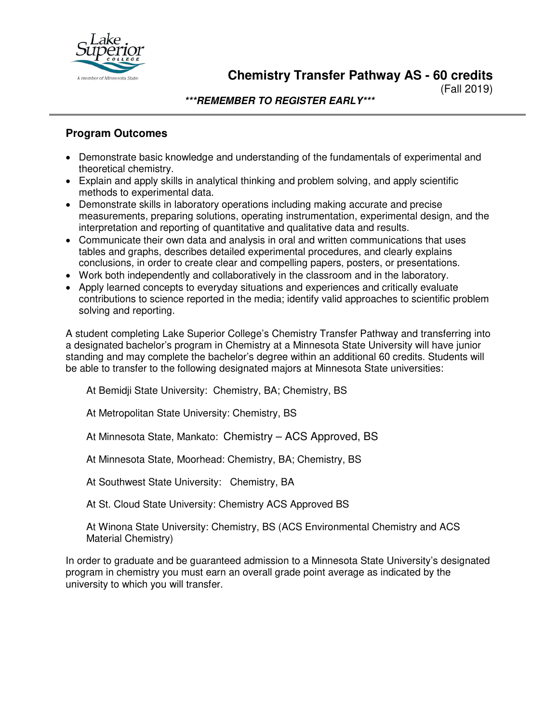

**Chemistry Transfer Pathway AS - 60 credits**

(Fall 2019)

**\*\*\*REMEMBER TO REGISTER EARLY\*\*\***

## **Program Outcomes**

- Demonstrate basic knowledge and understanding of the fundamentals of experimental and theoretical chemistry.
- Explain and apply skills in analytical thinking and problem solving, and apply scientific methods to experimental data.
- Demonstrate skills in laboratory operations including making accurate and precise measurements, preparing solutions, operating instrumentation, experimental design, and the interpretation and reporting of quantitative and qualitative data and results.
- Communicate their own data and analysis in oral and written communications that uses tables and graphs, describes detailed experimental procedures, and clearly explains conclusions, in order to create clear and compelling papers, posters, or presentations.
- Work both independently and collaboratively in the classroom and in the laboratory.
- Apply learned concepts to everyday situations and experiences and critically evaluate contributions to science reported in the media; identify valid approaches to scientific problem solving and reporting.

A student completing Lake Superior College's Chemistry Transfer Pathway and transferring into a designated bachelor's program in Chemistry at a Minnesota State University will have junior standing and may complete the bachelor's degree within an additional 60 credits. Students will be able to transfer to the following designated majors at Minnesota State universities:

At Bemidji State University: Chemistry, BA; Chemistry, BS

At Metropolitan State University: Chemistry, BS

At Minnesota State, Mankato: Chemistry – ACS Approved, BS

At Minnesota State, Moorhead: Chemistry, BA; Chemistry, BS

At Southwest State University: Chemistry, BA

At St. Cloud State University: Chemistry ACS Approved BS

At Winona State University: Chemistry, BS (ACS Environmental Chemistry and ACS Material Chemistry)

In order to graduate and be guaranteed admission to a Minnesota State University's designated program in chemistry you must earn an overall grade point average as indicated by the university to which you will transfer.